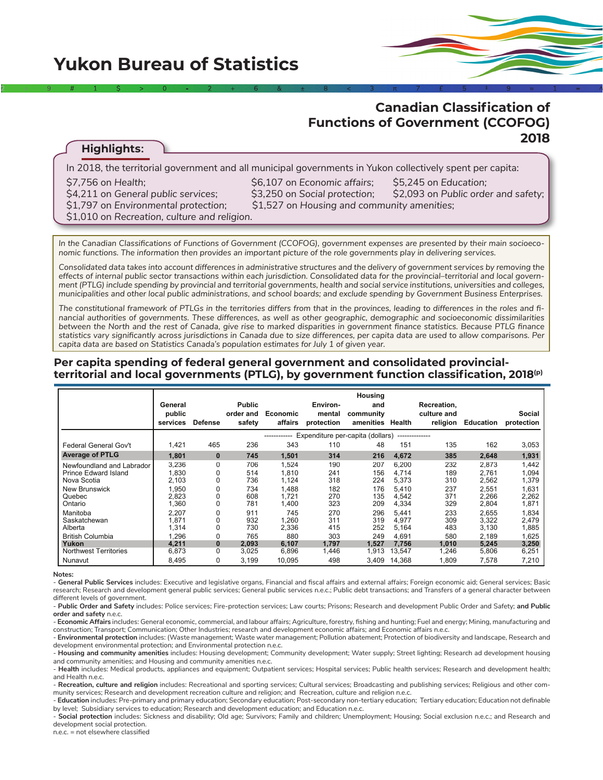# **Canadian Classification of Functions of Government (CCOFOG) 2018**

## **Highlights:**

| \$7,756 on Health;<br>\$6,107 on Economic affairs;<br>\$5,245 on Education;<br>\$4,211 on General public services;<br>\$3,250 on Social protection;<br>\$1,797 on Environmental protection;<br>\$1,527 on Housing and community amenities;<br>\$1,010 on Recreation, culture and religion. | In 2018, the territorial government and all municipal governments in Yukon collectively spent per capita: |                                     |
|--------------------------------------------------------------------------------------------------------------------------------------------------------------------------------------------------------------------------------------------------------------------------------------------|-----------------------------------------------------------------------------------------------------------|-------------------------------------|
|                                                                                                                                                                                                                                                                                            |                                                                                                           | \$2,093 on Public order and safety; |

2  $\Rightarrow$  9 # 1 \$  $>$  30  $\ge$  2  $+$  6  $\ge$  6  $\ge$  8  $\ge$  3  $\ge$  7  $\pi$   $\ge$  5  $\pm$  9  $\approx$  1 ∞ ^

*In the Canadian Classifications of Functions of Government (CCOFOG), government expenses are presented by their main socioeconomic functions. The information then provides an important picture of the role governments play in delivering services.* 

*Consolidated data takes into account differences in administrative structures and the delivery of government services by removing the effects of internal public sector transactions within each jurisdiction. Consolidated data for the provincial–territorial and local government (PTLG) include spending by provincial and territorial governments, health and social service institutions, universities and colleges, municipalities and other local public administrations, and school boards; and exclude spending by Government Business Enterprises.* 

*The constitutional framework of PTLGs in the territories differs from that in the provinces, leading to differences in the roles and financial authorities of governments. These differences, as well as other geographic, demographic and socioeconomic dissimilarities between the North and the rest of Canada, give rise to marked disparities in government finance statistics. Because PTLG finance statistics vary significantly across jurisdictions in Canada due to size differences, per capita data are used to allow comparisons. Per capita data are based on Statistics Canada's population estimates for July 1 of given year.* 

#### **Per capita spending of federal general government and consolidated provincialterritorial and local governments (PTLG), by government function classification, 2018(p)**

|                                                                  | General<br>public<br>services    | <b>Defense</b>         | <b>Public</b><br>order and<br>safety | Economic<br>affairs     | Environ-<br>mental<br>protection | Housing<br>and<br>community<br>amenities Health |                          | Recreation,<br>culture and<br>religion | Education               | Social<br>protection    |  |
|------------------------------------------------------------------|----------------------------------|------------------------|--------------------------------------|-------------------------|----------------------------------|-------------------------------------------------|--------------------------|----------------------------------------|-------------------------|-------------------------|--|
|                                                                  | Expenditure per-capita (dollars) |                        |                                      |                         |                                  |                                                 |                          |                                        |                         |                         |  |
| <b>Federal General Gov't</b>                                     | 1,421                            | 465                    | 236                                  | 343                     | 110                              | 48                                              | 151                      | 135                                    | 162                     | 3,053                   |  |
| <b>Average of PTLG</b>                                           | 1,801                            | $\mathbf{0}$           | 745                                  | 1,501                   | 314                              | 216                                             | 4,672                    | 385                                    | 2,648                   | 1,931                   |  |
| Newfoundland and Labrador<br>Prince Edward Island<br>Nova Scotia | 3,236<br>.830<br>2,103           | 0<br>0<br>0            | 706<br>514<br>736                    | 1,524<br>1,810<br>1,124 | 190<br>241<br>318                | 207<br>156<br>224                               | 6,200<br>4.714<br>5,373  | 232<br>189<br>310                      | 2,873<br>2.761<br>2,562 | 1,442<br>1,094<br>1,379 |  |
| <b>New Brunswick</b><br>Quebec<br>Ontario                        | .950<br>2,823<br>1,360           | 0<br>0<br>0            | 734<br>608<br>781                    | 1.488<br>1,721<br>1,400 | 182<br>270<br>323                | 176<br>135<br>209                               | 5.410<br>4,542<br>4,334  | 237<br>371<br>329                      | 2.551<br>2,266<br>2,804 | 1,631<br>2,262<br>1,871 |  |
| Manitoba<br>Saskatchewan<br>Alberta                              | 2,207<br>,871<br>1,314           | $\Omega$<br>0<br>0     | 911<br>932<br>730                    | 745<br>1,260<br>2,336   | 270<br>311<br>415                | 296<br>319<br>252                               | 5,441<br>4,977<br>5,164  | 233<br>309<br>483                      | 2,655<br>3,322<br>3,130 | 1,834<br>2,479<br>1,885 |  |
| <b>British Columbia</b><br>Yukon<br><b>Northwest Territories</b> | .296<br>4.211<br>6,873           | 0<br>$\mathbf{0}$<br>0 | 765<br>2,093<br>3,025                | 880<br>6,107<br>6,896   | 303<br>1.797<br>1,446            | 249<br>1.527<br>1,913                           | 4.691<br>7,756<br>13,547 | 580<br>1.010<br>1,246                  | 2,189<br>5.245<br>5,806 | 1,625<br>3,250<br>6,251 |  |
| Nunavut                                                          | 8,495                            | 0                      | 3,199                                | 10.095                  | 498                              | 3.409                                           | 14.368                   | 1,809                                  | 7,578                   | 7,210                   |  |

#### **Notes:**

- **General Public Services** includes: Executive and legislative organs, Financial and fiscal affairs and external affairs; Foreign economic aid; General services; Basic research; Research and development general public services; General public services n.e.c.; Public debt transactions; and Transfers of a general character between different levels of government.

- **Public Order and Safety** includes: Police services; Fire-protection services; Law courts; Prisons; Research and development Public Order and Safety; **and Public order and safety** n.e.c.

- **Economic Affairs** includes: General economic, commercial, and labour affairs; Agriculture, forestry, fishing and hunting; Fuel and energy; Mining, manufacturing and construction; Transport; Communication; Other Industries; research and development economic affairs; and Economic affairs n.e.c.

- **Environmental protection** includes: (Waste management; Waste water management; Pollution abatement; Protection of biodiversity and landscape, Research and development environmental protection; and Environmental protection n.e.c.

- **Housing and community amenities** includes: Housing development; Community development; Water supply; Street lighting; Research ad development housing and community amenities; and Housing and community amenities n.e.c.

- **Health** includes: Medical products, appliances and equipment; Outpatient services; Hospital services; Public health services; Research and development health; and Health n.e.c.

- **Recreation, culture and religion** includes: Recreational and sporting services; Cultural services; Broadcasting and publishing services; Religious and other community services; Research and development recreation culture and religion; and Recreation, culture and religion n.e.c.

- **Education** includes: Pre-primary and primary education; Secondary education; Post-secondary non-tertiary education; Tertiary education; Education not definable by level; Subsidiary services to education; Research and development education; and Education n.e.c.

- **Social protection** includes: Sickness and disability; Old age; Survivors; Family and children; Unemployment; Housing; Social exclusion n.e.c.; and Research and development social protection.

n.e.c. = not elsewhere classified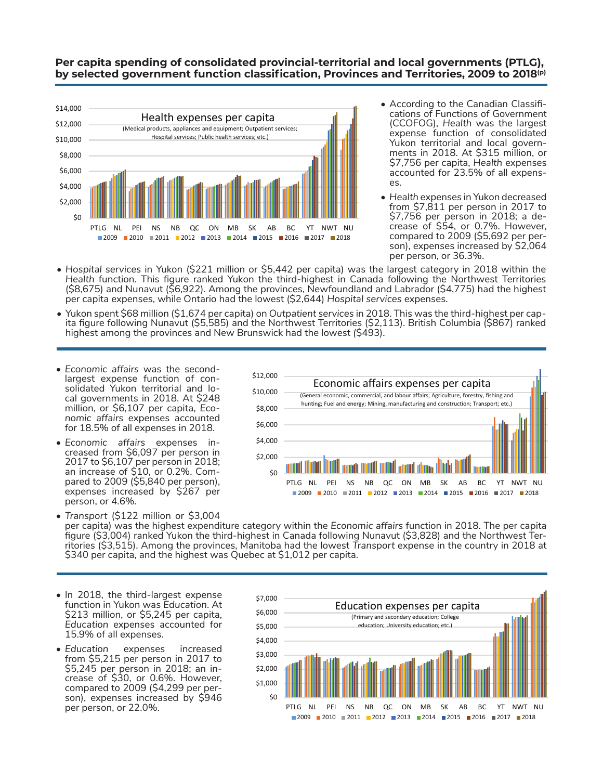#### **Per capita spending of consolidated provincial-territorial and local governments (PTLG), by selected government function classification, Provinces and Territories, 2009 to 2018(p)**



- According to the Canadian Classifi- cations of Functions of Government (CCOFOG), *Health* was the largest expense function of consolidated Yukon territorial and local govern- ments in 2018. At \$315 million, or \$7,756 per capita, *Health* expenses accounted for 23.5% of all expens-<br>es.
- *• Health* expenses in Yukon decreased from \$7,811 per person in 2017 to crease of \$54, or 0.7%. However, compared to 2009 (\$5,692 per per-<br>son), expenses increased by \$2,064 per person, or 36.3%.
- *• Hospital services* in Yukon (\$221 million or \$5,442 per capita) was the largest category in 2018 within the *Health* function. This figure ranked Yukon the third-highest in Canada following the Northwest Territories (\$8,675) and Nunavut (\$6,922). Among the provinces, Newfoundland and Labrador (\$4,775) had the highest per capita expenses, while Ontario had the lowest (\$2,644) *Hospital services* expenses.
- Yukon spent \$68 million (\$1,674 per capita) on *Outpatient services* in 2018. This was the third-highest per capita figure following Nunavut (\$5,585) and the Northwest Territories (\$2,113). British Columbia (\$867) ranked highest among the provinces and New Brunswick had the lowest *(*\$493).
- *• Economic affairs* was the secondlargest expense function of consolidated Yukon territorial and local governments in 2018. At \$248 million, or \$6,107 per capita, *Economic affairs* expenses accounted for 18.5% of all expenses in 2018.
- *• Economic affairs* expenses increased from \$6,097 per person in 2017 to \$6,107 per person in 2018; an increase of \$10, or 0.2%. Compared to 2009 (\$5,840 per person), expenses increased by \$267 per person, or 4.6%.



*• Transport* (\$122 million or \$3,004 per capita) was the highest expenditure category within the *Economic affairs* function in 2018. The per capita figure (\$3,004) ranked Yukon the third-highest in Canada following Nunavut (\$3,828) and the Northwest Territories (\$3,515). Among the provinces, Manitoba had the lowest *Transport* expense in the country in 2018 at \$340 per capita, and the highest was Quebec at \$1,012 per capita.

- In 2018, the third-largest expense function in Yukon was *Education*. At \$213 million, or \$5,245 per capita, *Education* expenses accounted for 15.9% of all expenses.
- *• Education* expenses increased from \$5,215 per person in 2017 to \$5,245 per person in 2018; an increase of \$30, or 0.6%. However, compared to 2009 (\$4,299 per person), expenses increased by \$946 per person, or 22.0%.

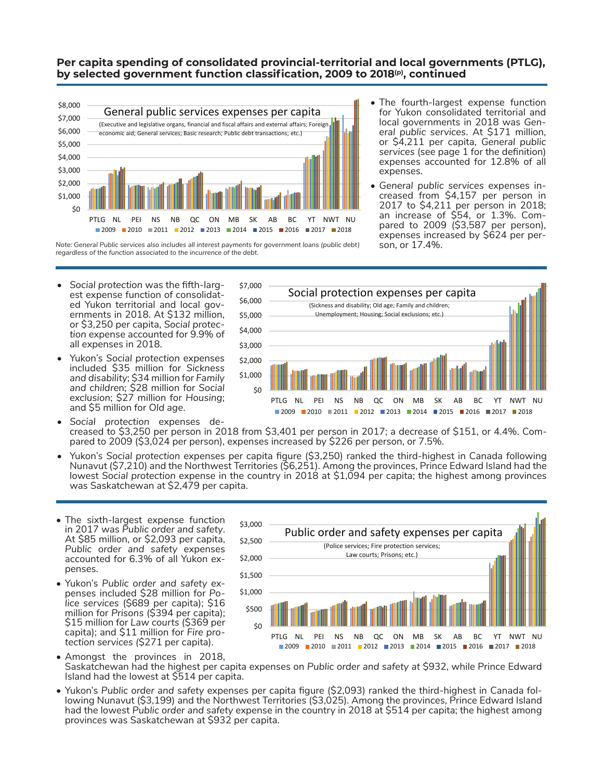#### **Per capita spending of consolidated provincial-territorial and local governments (PTLG), by selected government function classification, 2009 to 2018(p), continued**



*Note: General Public services also includes all interest payments for government loans (public debt) regardless of the function associated to the incurrence of the debt.*

- The fourth-largest expense function for Yukon consolidated territorial and local governments in 2018 was *General public services*. At \$171 million, or \$4,211 per capita, *General public services* (see page 1 for the definition) expenses accounted for 12.8% of all expenses.
- *• General public services* expenses in- creased from \$4,157 per person in 2017 to \$4,211 per person in 2018; pared to  $2009$  (\$3,587 per person), expenses increased by \$624 per per-

- *• Social protection* was the fifth-largest expense function of consolidated Yukon territorial and local governments in 2018. At \$132 million, or \$3,250 per capita, *Social protection* expense accounted for 9.9% of all expenses in 2018.
- Yukon's *Social protection* expenses included \$35 million for *Sickness and disability*; \$34 million for *Family and childre*n; \$28 million for *Social exclusion*; \$27 million for *Housing*; and \$5 million for *Old age*.



- *• Social protection* expenses decreased to \$3,250 per person in 2018 from \$3,401 per person in 2017; a decrease of \$151, or 4.4%. Compared to 2009 (\$3,024 per person), expenses increased by \$226 per person, or 7.5%.
- Yukon's *Social protection* expenses per capita figure (\$3,250) ranked the third-highest in Canada following Nunavut (\$7,210) and the Northwest Territories (\$6,251). Among the provinces, Prince Edward Island had the lowest *Social protection* expense in the country in 2018 at \$1,094 per capita; the highest among provinces was Saskatchewan at \$2,479 per capita.

\$3,500

- The sixth-largest expense function in 2017 was *Public order and safety*. At \$85 million, or \$2,093 per capita, *Public order and safety* expenses accounted for 6.3% of all Yukon expenses.
- Yukon's *Public order and safety* expenses included \$28 million for *Police services* (\$689 per capita); \$16 million for *Prisons* (\$394 per capita); \$15 million for *Law courts* (\$369 per capita); and \$11 million for *Fire protection services (*\$271 per capita).



- Amongst the provinces in 2018, Saskatchewan had the highest per capita expenses on *Public order and safety at* \$932, while Prince Edward Island had the lowest at \$514 per capita.
- Yukon's *Public order and safety* expenses per capita figure (\$2,093) ranked the third-highest in Canada following Nunavut (\$3,199) and the Northwest Territories (\$3,025). Among the provinces, Prince Edward Island had the lowest *Public order and safety* expense in the country in 2018 at \$514 per capita; the highest among provinces was Saskatchewan at \$932 per capita.